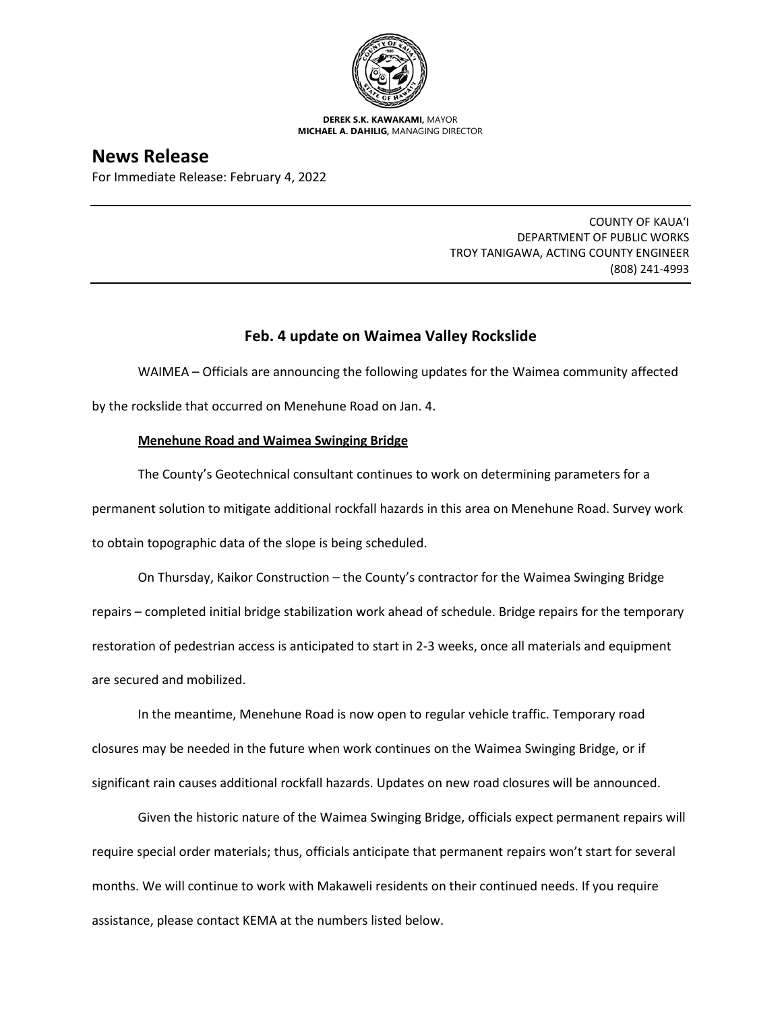

**DEREK S.K. KAWAKAMI,** MAYOR **MICHAEL A. DAHILIG,** MANAGING DIRECTOR

# **News Release**

For Immediate Release: February 4, 2022

COUNTY OF KAUA'I DEPARTMENT OF PUBLIC WORKS TROY TANIGAWA, ACTING COUNTY ENGINEER (808) 241-4993

## **Feb. 4 update on Waimea Valley Rockslide**

WAIMEA – Officials are announcing the following updates for the Waimea community affected by the rockslide that occurred on Menehune Road on Jan. 4.

### **Menehune Road and Waimea Swinging Bridge**

The County's Geotechnical consultant continues to work on determining parameters for a permanent solution to mitigate additional rockfall hazards in this area on Menehune Road. Survey work to obtain topographic data of the slope is being scheduled.

On Thursday, Kaikor Construction – the County's contractor for the Waimea Swinging Bridge repairs – completed initial bridge stabilization work ahead of schedule. Bridge repairs for the temporary restoration of pedestrian access is anticipated to start in 2-3 weeks, once all materials and equipment are secured and mobilized.

In the meantime, Menehune Road is now open to regular vehicle traffic. Temporary road closures may be needed in the future when work continues on the Waimea Swinging Bridge, or if significant rain causes additional rockfall hazards. Updates on new road closures will be announced.

Given the historic nature of the Waimea Swinging Bridge, officials expect permanent repairs will require special order materials; thus, officials anticipate that permanent repairs won't start for several months. We will continue to work with Makaweli residents on their continued needs. If you require assistance, please contact KEMA at the numbers listed below.